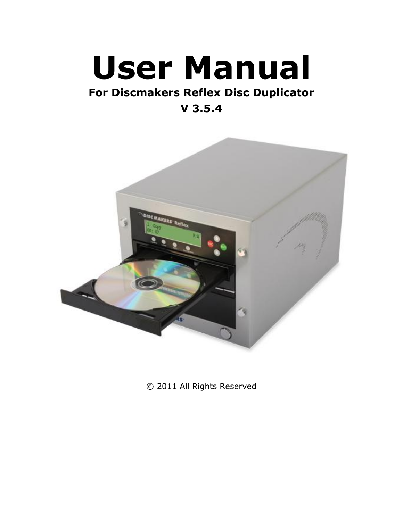# **User Manual**

## **For Discmakers Reflex Disc Duplicator**

**V 3.5.4**



© 2011 All Rights Reserved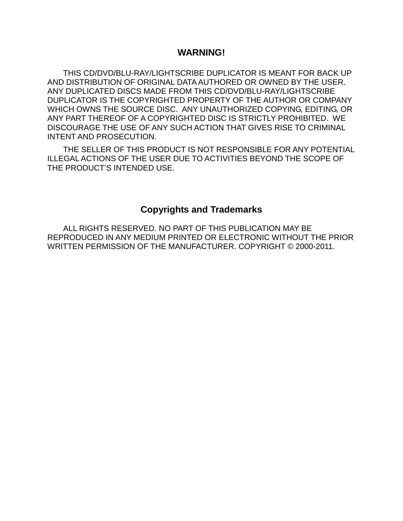#### **WARNING!**

THIS CD/DVD/BLU-RAY/LIGHTSCRIBE DUPLICATOR IS MEANT FOR BACK UP AND DISTRIBUTION OF ORIGINAL DATA AUTHORED OR OWNED BY THE USER. ANY DUPLICATED DISCS MADE FROM THIS CD/DVD/BLU-RAY/LIGHTSCRIBE DUPLICATOR IS THE COPYRIGHTED PROPERTY OF THE AUTHOR OR COMPANY WHICH OWNS THE SOURCE DISC. ANY UNAUTHORIZED COPYING, EDITING, OR ANY PART THEREOF OF A COPYRIGHTED DISC IS STRICTLY PROHIBITED. WE DISCOURAGE THE USE OF ANY SUCH ACTION THAT GIVES RISE TO CRIMINAL INTENT AND PROSECUTION.

THE SELLER OF THIS PRODUCT IS NOT RESPONSIBLE FOR ANY POTENTIAL ILLEGAL ACTIONS OF THE USER DUE TO ACTIVITIES BEYOND THE SCOPE OF THE PRODUCT'S INTENDED USE.

#### **Copyrights and Trademarks**

ALL RIGHTS RESERVED. NO PART OF THIS PUBLICATION MAY BE REPRODUCED IN ANY MEDIUM PRINTED OR ELECTRONIC WITHOUT THE PRIOR WRITTEN PERMISSION OF THE MANUFACTURER. COPYRIGHT © 2000-2011.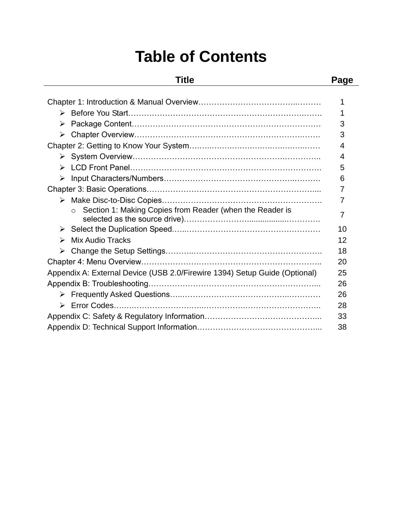# **Table of Contents**

### **Title Page**

| ≻ |                                                                            | 3  |
|---|----------------------------------------------------------------------------|----|
| ≻ |                                                                            | 3  |
|   |                                                                            | 4  |
|   |                                                                            | 4  |
| ➤ |                                                                            | 5  |
| ➤ |                                                                            | 6  |
|   |                                                                            | 7  |
|   |                                                                            |    |
|   | Section 1: Making Copies from Reader (when the Reader is                   | 7  |
| ➤ |                                                                            | 10 |
| ↘ | <b>Mix Audio Tracks</b>                                                    | 12 |
| ➤ |                                                                            | 18 |
|   |                                                                            | 20 |
|   | Appendix A: External Device (USB 2.0/Firewire 1394) Setup Guide (Optional) | 25 |
|   |                                                                            | 26 |
|   |                                                                            | 26 |
| ➤ |                                                                            | 28 |
|   |                                                                            | 33 |
|   |                                                                            | 38 |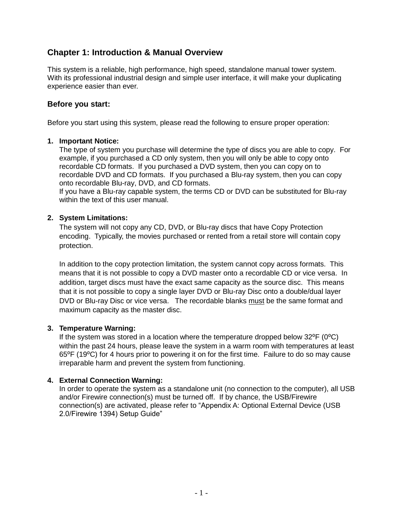#### **Chapter 1: Introduction & Manual Overview**

This system is a reliable, high performance, high speed, standalone manual tower system. With its professional industrial design and simple user interface, it will make your duplicating experience easier than ever.

#### **Before you start:**

Before you start using this system, please read the following to ensure proper operation:

#### **1. Important Notice:**

The type of system you purchase will determine the type of discs you are able to copy. For example, if you purchased a CD only system, then you will only be able to copy onto recordable CD formats. If you purchased a DVD system, then you can copy on to recordable DVD and CD formats. If you purchased a Blu-ray system, then you can copy onto recordable Blu-ray, DVD, and CD formats.

If you have a Blu-ray capable system, the terms CD or DVD can be substituted for Blu-ray within the text of this user manual.

#### **2. System Limitations:**

The system will not copy any CD, DVD, or Blu-ray discs that have Copy Protection encoding. Typically, the movies purchased or rented from a retail store will contain copy protection.

In addition to the copy protection limitation, the system cannot copy across formats. This means that it is not possible to copy a DVD master onto a recordable CD or vice versa. In addition, target discs must have the exact same capacity as the source disc. This means that it is not possible to copy a single layer DVD or Blu-ray Disc onto a double/dual layer DVD or Blu-ray Disc or vice versa. The recordable blanks must be the same format and maximum capacity as the master disc.

#### **3. Temperature Warning:**

If the system was stored in a location where the temperature dropped below  $32^{\circ}F (0^{\circ}C)$ within the past 24 hours, please leave the system in a warm room with temperatures at least 65°F (19°C) for 4 hours prior to powering it on for the first time. Failure to do so may cause irreparable harm and prevent the system from functioning.

#### **4. External Connection Warning:**

In order to operate the system as a standalone unit (no connection to the computer), all USB and/or Firewire connection(s) must be turned off. If by chance, the USB/Firewire connection(s) are activated, please refer to "Appendix A: Optional External Device (USB 2.0/Firewire 1394) Setup Guide"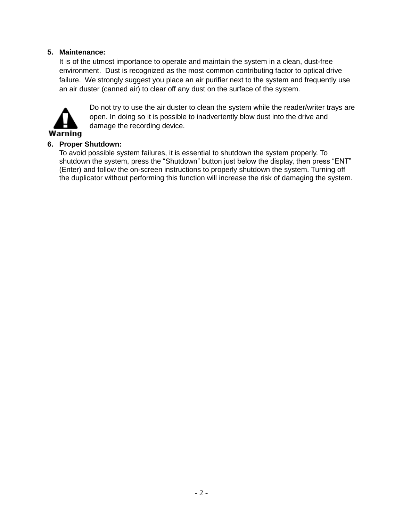#### **5. Maintenance:**

It is of the utmost importance to operate and maintain the system in a clean, dust-free environment. Dust is recognized as the most common contributing factor to optical drive failure. We strongly suggest you place an air purifier next to the system and frequently use an air duster (canned air) to clear off any dust on the surface of the system.



Do not try to use the air duster to clean the system while the reader/writer trays are open. In doing so it is possible to inadvertently blow dust into the drive and damage the recording device.

#### **6. Proper Shutdown:**

To avoid possible system failures, it is essential to shutdown the system properly. To shutdown the system, press the "Shutdown" button just below the display, then press "ENT" (Enter) and follow the on-screen instructions to properly shutdown the system. Turning off the duplicator without performing this function will increase the risk of damaging the system.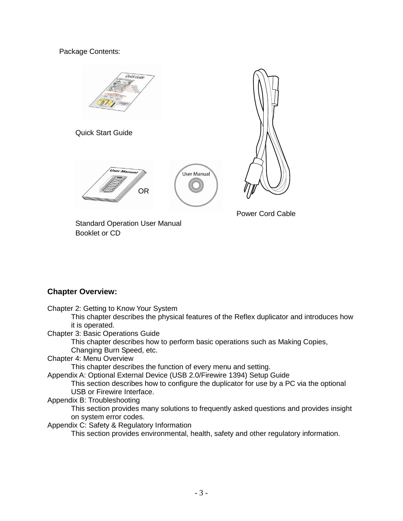Package Contents:



**Chapter Overview:**

Chapter 2: Getting to Know Your System

This chapter describes the physical features of the Reflex duplicator and introduces how it is operated.

Chapter 3: Basic Operations Guide

This chapter describes how to perform basic operations such as Making Copies, Changing Burn Speed, etc.

#### Chapter 4: Menu Overview

This chapter describes the function of every menu and setting.

Appendix A: Optional External Device (USB 2.0/Firewire 1394) Setup Guide

This section describes how to configure the duplicator for use by a PC via the optional USB or Firewire Interface.

#### Appendix B: Troubleshooting

This section provides many solutions to frequently asked questions and provides insight on system error codes.

Appendix C: Safety & Regulatory Information

This section provides environmental, health, safety and other regulatory information.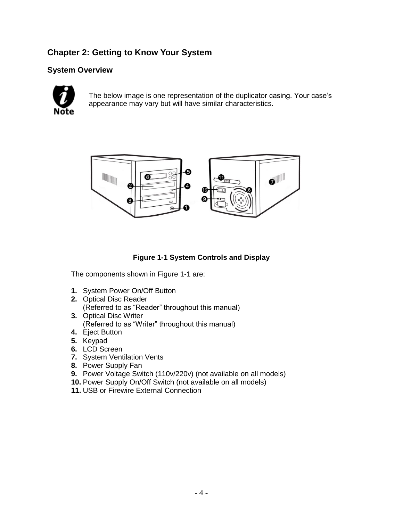#### **Chapter 2: Getting to Know Your System**

#### **System Overview**



The below image is one representation of the duplicator casing. Your case's appearance may vary but will have similar characteristics.



#### **Figure 1-1 System Controls and Display**

The components shown in Figure 1-1 are:

- **1.** System Power On/Off Button
- **2.** Optical Disc Reader (Referred to as "Reader" throughout this manual)
- **3.** Optical Disc Writer (Referred to as "Writer" throughout this manual)
- **4.** Eject Button
- **5.** Keypad
- **6.** LCD Screen
- **7.** System Ventilation Vents
- **8.** Power Supply Fan
- **9.** Power Voltage Switch (110v/220v) (not available on all models)
- **10.** Power Supply On/Off Switch (not available on all models)
- **11.** USB or Firewire External Connection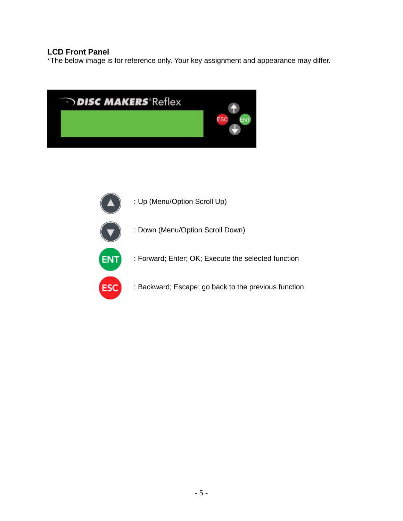#### **LCD Front Panel**

\*The below image is for reference only. Your key assignment and appearance may differ.



: Up (Menu/Option Scroll Up) : Down (Menu/Option Scroll Down) **ENT** : Forward; Enter; OK; Execute the selected function : Backward; Escape; go back to the previous function**ESC**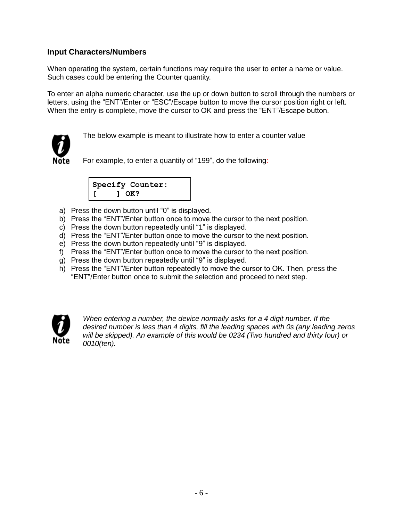#### **Input Characters/Numbers**

When operating the system, certain functions may require the user to enter a name or value. Such cases could be entering the Counter quantity.

To enter an alpha numeric character, use the up or down button to scroll through the numbers or letters, using the "ENT"/Enter or "ESC"/Escape button to move the cursor position right or left. When the entry is complete, move the cursor to OK and press the "ENT"/Escape button.



The below example is meant to illustrate how to enter a counter value

For example, to enter a quantity of "199", do the following:



- a) Press the down button until "0" is displayed.
- b) Press the "ENT"/Enter button once to move the cursor to the next position.
- c) Press the down button repeatedly until "1" is displayed.
- d) Press the "ENT"/Enter button once to move the cursor to the next position.
- e) Press the down button repeatedly until "9" is displayed.
- f) Press the "ENT"/Enter button once to move the cursor to the next position.
- g) Press the down button repeatedly until "9" is displayed.
- h) Press the "ENT"/Enter button repeatedly to move the cursor to OK. Then, press the "ENT"/Enter button once to submit the selection and proceed to next step.



*When entering a number, the device normally asks for a 4 digit number. If the desired number is less than 4 digits, fill the leading spaces with 0s (any leading zeros will be skipped). An example of this would be 0234 (Two hundred and thirty four) or 0010(ten).*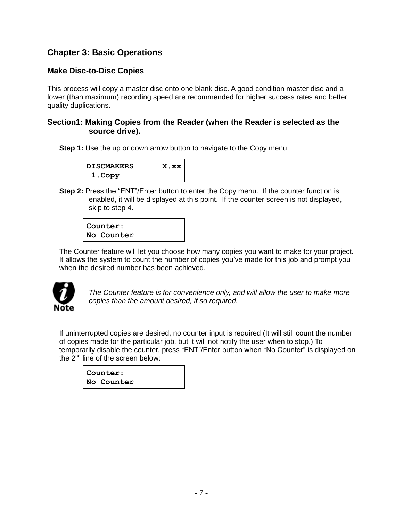#### **Chapter 3: Basic Operations**

#### **Make Disc-to-Disc Copies**

This process will copy a master disc onto one blank disc. A good condition master disc and a lower (than maximum) recording speed are recommended for higher success rates and better quality duplications.

#### **Section1: Making Copies from the Reader (when the Reader is selected as the source drive).**

**Step 1:** Use the up or down arrow button to navigate to the Copy menu:



**Step 2:** Press the "ENT"/Enter button to enter the Copy menu. If the counter function is enabled, it will be displayed at this point. If the counter screen is not displayed, skip to step 4.

**Counter: No Counter**

The Counter feature will let you choose how many copies you want to make for your project. It allows the system to count the number of copies you've made for this job and prompt you when the desired number has been achieved.



*The Counter feature is for convenience only, and will allow the user to make more copies than the amount desired, if so required.*

If uninterrupted copies are desired, no counter input is required (It will still count the number of copies made for the particular job, but it will not notify the user when to stop.) To temporarily disable the counter, press "ENT"/Enter button when "No Counter" is displayed on the 2<sup>nd</sup> line of the screen below:

| Counter:   |  |
|------------|--|
| No Counter |  |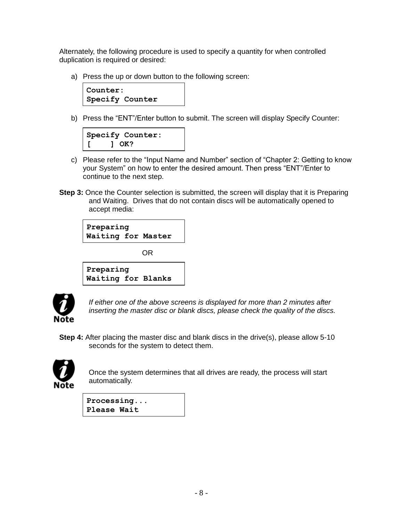Alternately, the following procedure is used to specify a quantity for when controlled duplication is required or desired:

a) Press the up or down button to the following screen:



b) Press the "ENT"/Enter button to submit. The screen will display Specify Counter:

| Specify Counter: |
|------------------|
| $1$ OK?          |

- c) Please refer to the "Input Name and Number" section of "Chapter 2: Getting to know your System" on how to enter the desired amount. Then press "ENT"/Enter to continue to the next step.
- **Step 3:** Once the Counter selection is submitted, the screen will display that it is Preparing and Waiting. Drives that do not contain discs will be automatically opened to accept media:

| Preparing<br>Waiting for Master |  |
|---------------------------------|--|
| OR                              |  |
| Preparing                       |  |
| Waiting for Blanks              |  |



*If either one of the above screens is displayed for more than 2 minutes after inserting the master disc or blank discs, please check the quality of the discs.*

**Step 4:** After placing the master disc and blank discs in the drive(s), please allow 5-10 seconds for the system to detect them.



Once the system determines that all drives are ready, the process will start automatically.

**Processing... Please Wait**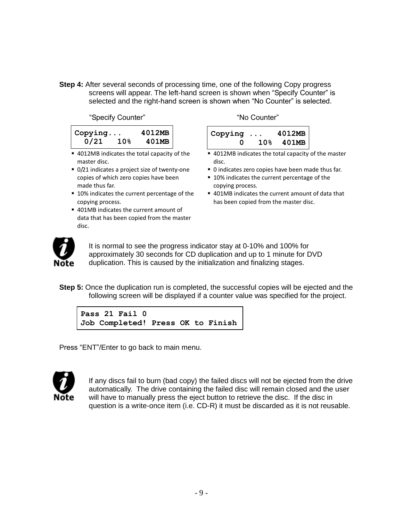**Step 4:** After several seconds of processing time, one of the following Copy progress screens will appear. The left-hand screen is shown when "Specify Counter" is selected and the right-hand screen is shown when "No Counter" is selected.

"Specify Counter" The Counter" The Counter"

| $\vert$ Copying |                 | 4012MB |
|-----------------|-----------------|--------|
| 0/21            | 10 <sub>8</sub> | 401MB  |

- 4012MB indicates the total capacity of the master disc.
- 0/21 indicates a project size of twenty-one copies of which zero copies have been made thus far.
- 10% indicates the current percentage of the copying process.
- 401MB indicates the current amount of data that has been copied from the master disc.

| $\vert$ Copying $\ldots$ | 4012MB    |
|--------------------------|-----------|
| n                        | 10% 401MB |

- 4012MB indicates the total capacity of the master disc.
- 0 indicates zero copies have been made thus far.
- 10% indicates the current percentage of the copying process.
- 401MB indicates the current amount of data that has been copied from the master disc.



It is normal to see the progress indicator stay at 0-10% and 100% for approximately 30 seconds for CD duplication and up to 1 minute for DVD duplication. This is caused by the initialization and finalizing stages.

**Step 5:** Once the duplication run is completed, the successful copies will be ejected and the following screen will be displayed if a counter value was specified for the project.

```
Pass 21 Fail 0
Job Completed! Press OK to Finish
```
Press "ENT"/Enter to go back to main menu.



If any discs fail to burn (bad copy) the failed discs will not be ejected from the drive automatically. The drive containing the failed disc will remain closed and the user will have to manually press the eject button to retrieve the disc. If the disc in question is a write-once item (i.e. CD-R) it must be discarded as it is not reusable.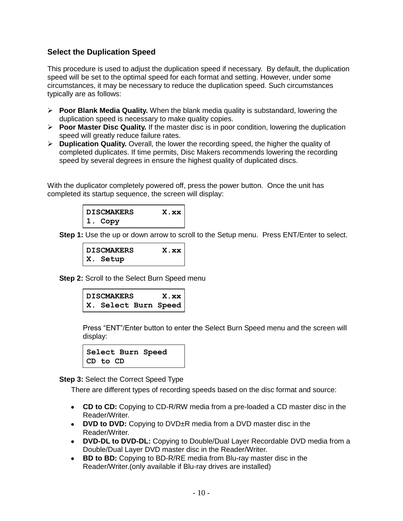#### **Select the Duplication Speed**

This procedure is used to adjust the duplication speed if necessary. By default, the duplication speed will be set to the optimal speed for each format and setting. However, under some circumstances, it may be necessary to reduce the duplication speed. Such circumstances typically are as follows:

- **Poor Blank Media Quality.** When the blank media quality is substandard, lowering the duplication speed is necessary to make quality copies.
- **► Poor Master Disc Quality.** If the master disc is in poor condition, lowering the duplication speed will greatly reduce failure rates.
- **Duplication Quality.** Overall, the lower the recording speed, the higher the quality of completed duplicates. If time permits, Disc Makers recommends lowering the recording speed by several degrees in ensure the highest quality of duplicated discs.

With the duplicator completely powered off, press the power button. Once the unit has completed its startup sequence, the screen will display:



**Step 1:** Use the up or down arrow to scroll to the Setup menu. Press ENT/Enter to select.

**DISCMAKERS X.xx X. Setup**

**Step 2:** Scroll to the Select Burn Speed menu

| <b>DISCMAKERS</b> |  | x . x x              |
|-------------------|--|----------------------|
|                   |  | X. Select Burn Speed |

Press "ENT"/Enter button to enter the Select Burn Speed menu and the screen will display:



**Step 3:** Select the Correct Speed Type

There are different types of recording speeds based on the disc format and source:

- **CD to CD:** Copying to CD-R/RW media from a pre-loaded a CD master disc in the Reader/Writer.
- **DVD to DVD:** Copying to DVD±R media from a DVD master disc in the Reader/Writer.
- **DVD-DL to DVD-DL:** Copying to Double/Dual Layer Recordable DVD media from a Double/Dual Layer DVD master disc in the Reader/Writer.
- **BD to BD:** Copying to BD-R/RE media from Blu-ray master disc in the Reader/Writer.(only available if Blu-ray drives are installed)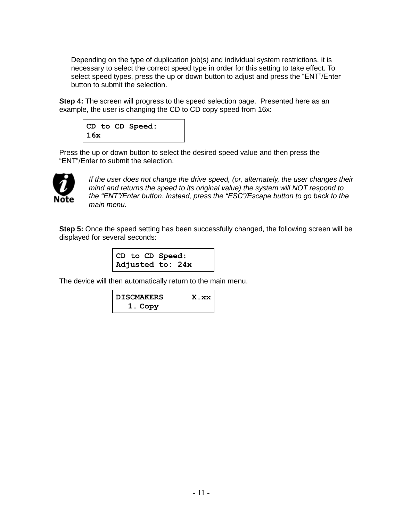Depending on the type of duplication job(s) and individual system restrictions, it is necessary to select the correct speed type in order for this setting to take effect. To select speed types, press the up or down button to adjust and press the "ENT"/Enter button to submit the selection.

**Step 4:** The screen will progress to the speed selection page. Presented here as an example, the user is changing the CD to CD copy speed from 16x:

|     |  | CD to CD Speed: |  |
|-----|--|-----------------|--|
| 16x |  |                 |  |

Press the up or down button to select the desired speed value and then press the "ENT"/Enter to submit the selection.



*If the user does not change the drive speed, (or, alternately, the user changes their mind and returns the speed to its original value) the system will NOT respond to the "ENT"/Enter button. Instead, press the "ESC"/Escape button to go back to the main menu.*

**Step 5:** Once the speed setting has been successfully changed, the following screen will be displayed for several seconds:

|  | CD to CD Speed:  |  |
|--|------------------|--|
|  | Adjusted to: 24x |  |

The device will then automatically return to the main menu.

| <b>DISCMAKERS</b> | X.XX |
|-------------------|------|
| 1. Copy           |      |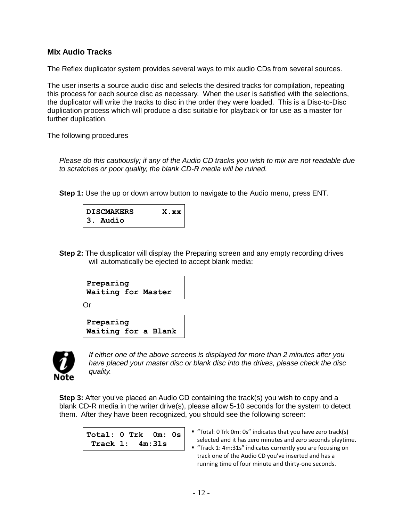#### **Mix Audio Tracks**

The Reflex duplicator system provides several ways to mix audio CDs from several sources.

The user inserts a source audio disc and selects the desired tracks for compilation, repeating this process for each source disc as necessary. When the user is satisfied with the selections, the duplicator will write the tracks to disc in the order they were loaded. This is a Disc-to-Disc duplication process which will produce a disc suitable for playback or for use as a master for further duplication.

The following procedures

*Please do this cautiously; if any of the Audio CD tracks you wish to mix are not readable due to scratches or poor quality, the blank CD-R media will be ruined.*

**Step 1:** Use the up or down arrow button to navigate to the Audio menu, press ENT.

| DISCMAKERS | X.xx |
|------------|------|
| 3. Audio   |      |

**Step 2:** The dusplicator will display the Preparing screen and any empty recording drives will automatically be ejected to accept blank media:

```
Preparing
Waiting for Master
```
Or

```
Preparing
Waiting for a Blank
```


*If either one of the above screens is displayed for more than 2 minutes after you have placed your master disc or blank disc into the drives, please check the disc quality.*

**Step 3:** After you've placed an Audio CD containing the track(s) you wish to copy and a blank CD-R media in the writer drive(s), please allow 5-10 seconds for the system to detect them. After they have been recognized, you should see the following screen:

| Total: $0$ Trk $0$ m: $0$ s |  |  |  |
|-----------------------------|--|--|--|
| Track $1: 4m:31s$           |  |  |  |

- "Total: 0 Trk 0m: 0s" indicates that you have zero track(s) selected and it has zero minutes and zero seconds playtime.
- "Track 1: 4m:31s" indicates currently you are focusing on track one of the Audio CD you've inserted and has a running time of four minute and thirty-one seconds.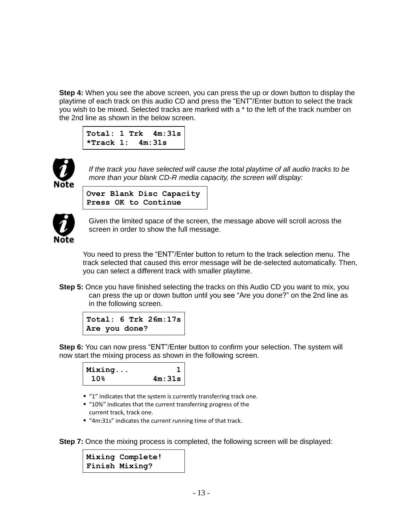**Step 4:** When you see the above screen, you can press the up or down button to display the playtime of each track on this audio CD and press the "ENT"/Enter button to select the track you wish to be mixed. Selected tracks are marked with a \* to the left of the track number on the 2nd line as shown in the below screen.

```
Total: 1 Trk 4m:31s
*Track 1: 4m:31s
```


*If the track you have selected will cause the total playtime of all audio tracks to be more than your blank CD-R media capacity, the screen will display:*

**Over Blank Disc Capacity Press OK to Continue**



Given the limited space of the screen, the message above will scroll across the screen in order to show the full message.

You need to press the "ENT"/Enter button to return to the track selection menu. The track selected that caused this error message will be de-selected automatically. Then, you can select a different track with smaller playtime.

**Step 5:** Once you have finished selecting the tracks on this Audio CD you want to mix, you can press the up or down button until you see "Are you done?" on the 2nd line as in the following screen.



**Step 6:** You can now press "ENT"/Enter button to confirm your selection. The system will now start the mixing process as shown in the following screen.



- "1" indicates that the system is currently transferring track one.
- "10%" indicates that the current transferring progress of the current track, track one.
- "4m:31s" indicates the current running time of that track.

**Step 7:** Once the mixing process is completed, the following screen will be displayed:

**Mixing Complete! Finish Mixing?**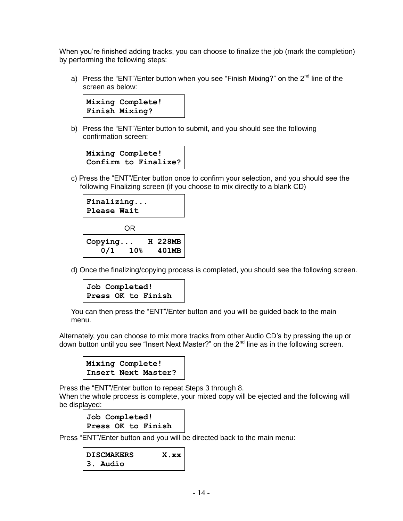When you're finished adding tracks, you can choose to finalize the job (mark the completion) by performing the following steps:

a) Press the "ENT"/Enter button when you see "Finish Mixing?" on the  $2<sup>nd</sup>$  line of the screen as below:



b) Press the "ENT"/Enter button to submit, and you should see the following confirmation screen:

```
Mixing Complete!
Confirm to Finalize?
```
c) Press the "ENT"/Enter button once to confirm your selection, and you should see the following Finalizing screen (if you choose to mix directly to a blank CD)

```
Finalizing...
Please Wait
```
OR **Copying... H 228MB 0/1 10% 401MB**

d) Once the finalizing/copying process is completed, you should see the following screen.

```
Job Completed!
Press OK to Finish
```
You can then press the "ENT"/Enter button and you will be guided back to the main menu.

Alternately, you can choose to mix more tracks from other Audio CD's by pressing the up or down button until you see "Insert Next Master?" on the 2<sup>nd</sup> line as in the following screen.



Press the "ENT"/Enter button to repeat Steps 3 through 8.

When the whole process is complete, your mixed copy will be ejected and the following will be displayed:

**Job Completed! Press OK to Finish**

Press "ENT"/Enter button and you will be directed back to the main menu:

```
DISCMAKERS X.xx
3. Audio
```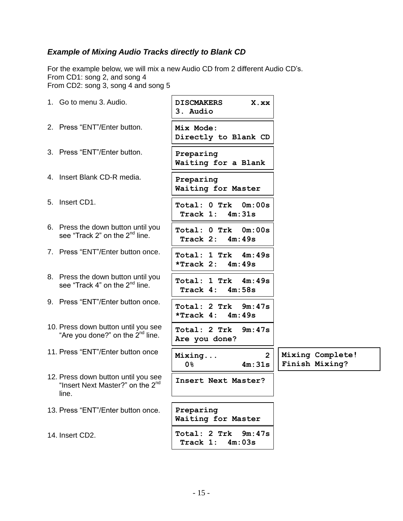#### *Example of Mixing Audio Tracks directly to Blank CD*

For the example below, we will mix a new Audio CD from 2 different Audio CD's. From CD1: song 2, and song 4 From CD2: song 3, song 4 and song 5

| 1. Go to menu 3. Audio.                                                                      | <b>DISCMAKERS</b><br>X.xx<br>3. Audio            |                                    |
|----------------------------------------------------------------------------------------------|--------------------------------------------------|------------------------------------|
| 2. Press "ENT"/Enter button.                                                                 | Mix Mode:<br>Directly to Blank CD                |                                    |
| 3. Press "ENT"/Enter button.                                                                 | Preparing<br>Waiting for a Blank                 |                                    |
| 4. Insert Blank CD-R media.                                                                  | Preparing<br>Waiting for Master                  |                                    |
| 5. Insert CD1.                                                                               | Total: 0 Trk 0m:00s<br>Track 1:<br>4m:31s        |                                    |
| 6. Press the down button until you<br>see "Track 2" on the 2 <sup>nd</sup> line.             | Total: 0 Trk<br>0m:00s<br>Track 2:<br>4m:49s     |                                    |
| 7. Press "ENT"/Enter button once.                                                            | Total: 1 Trk 4m:49s<br>*Track 2: $4m:49s$        |                                    |
| 8. Press the down button until you<br>see "Track 4" on the 2 <sup>nd</sup> line.             | Total: 1 Trk 4m:49s<br>Track 4:<br>4m:58s        |                                    |
| 9. Press "ENT"/Enter button once.                                                            | Total: 2 Trk<br>9m:47s<br>*Track $4: 4m:49s$     |                                    |
| 10. Press down button until you see<br>"Are you done?" on the 2 <sup>nd</sup> line.          | Total: 2 Trk<br>9m:47s<br>Are you done?          |                                    |
| 11. Press "ENT"/Enter button once                                                            | $\overline{2}$<br>Mixing<br><b>0</b> %<br>4m:31s | Mixing Complete!<br>Finish Mixing? |
| 12. Press down button until you see<br>"Insert Next Master?" on the 2 <sup>nd</sup><br>line. | Insert Next Master?                              |                                    |
| 13. Press "ENT"/Enter button once.                                                           | Preparing<br>Waiting for Master                  |                                    |
| 14. Insert CD2.                                                                              | Total: 2 Trk<br>9m:47s<br>Track 1:<br>4m:03s     |                                    |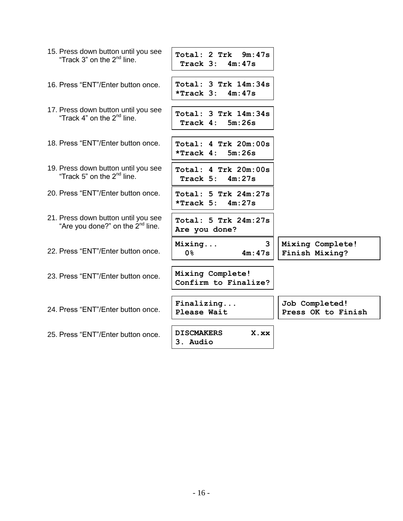| 15. Press down button until you see<br>"Track 3" on the 2 <sup>nd</sup> line.       | Total: 2 Trk 9m:47s<br>Track $3: 4m:47s$           |                                      |
|-------------------------------------------------------------------------------------|----------------------------------------------------|--------------------------------------|
| 16. Press "ENT"/Enter button once.                                                  | Total: 3 Trk 14m:34s<br>*Track 3:<br>4m:47s        |                                      |
| 17. Press down button until you see<br>"Track 4" on the $2nd$ line.                 | Total: 3 Trk 14m:34s<br>Track 4:<br>5m:26s         |                                      |
| 18. Press "ENT"/Enter button once.                                                  | Total: 4 Trk 20m:00s<br>*Track 4:<br>5m:26s        |                                      |
| 19. Press down button until you see<br>"Track 5" on the 2 <sup>nd</sup> line.       | Total: 4 Trk 20m:00s<br>Track 5:<br>4m:27s         |                                      |
| 20. Press "ENT"/Enter button once.                                                  | $Total: 5$ Trk $24m:27s$<br>$*$ Track 5:<br>4m:27s |                                      |
| 21. Press down button until you see<br>"Are you done?" on the 2 <sup>nd</sup> line. | $Total: 5$ Trk $24m:27s$<br>Are you done?          |                                      |
| 22. Press "ENT"/Enter button once.                                                  | $\overline{3}$<br>Mixing<br><b>0</b> %<br>4m:47s   | Mixing Complete!<br>Finish Mixing?   |
| 23. Press "ENT"/Enter button once.                                                  | Mixing Complete!<br>Confirm to Finalize?           |                                      |
| 24. Press "ENT"/Enter button once.                                                  | Finalizing<br>Please Wait                          | Job Completed!<br>Press OK to Finish |
| 25. Press "ENT"/Enter button once.                                                  | <b>DISCMAKERS</b><br>X.xx<br>3. Audio              |                                      |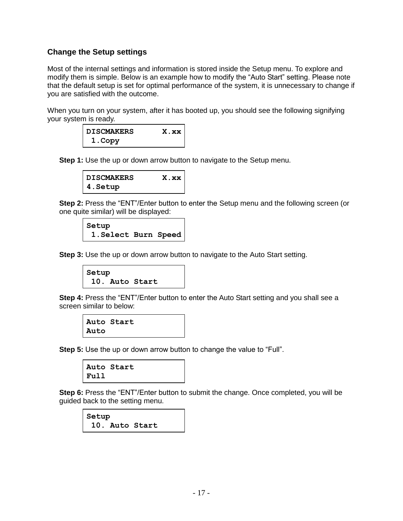#### **Change the Setup settings**

Most of the internal settings and information is stored inside the Setup menu. To explore and modify them is simple. Below is an example how to modify the "Auto Start" setting. Please note that the default setup is set for optimal performance of the system, it is unnecessary to change if you are satisfied with the outcome.

When you turn on your system, after it has booted up, you should see the following signifying your system is ready.

| DISCMAKERS | X.xx |
|------------|------|
| 1.Copy     |      |

**Step 1:** Use the up or down arrow button to navigate to the Setup menu.

| <b>DISCMAKERS</b> | X.xx |
|-------------------|------|
| 4.Setup           |      |

**Step 2:** Press the "ENT"/Enter button to enter the Setup menu and the following screen (or one quite similar) will be displayed:

```
Setup
 1.Select Burn Speed
```
**Step 3:** Use the up or down arrow button to navigate to the Auto Start setting.

```
Setup
 10. Auto Start
```
**Step 4:** Press the "ENT"/Enter button to enter the Auto Start setting and you shall see a screen similar to below:

```
Auto Start
Auto
```
**Step 5:** Use the up or down arrow button to change the value to "Full".



**Step 6:** Press the "ENT"/Enter button to submit the change. Once completed, you will be guided back to the setting menu.

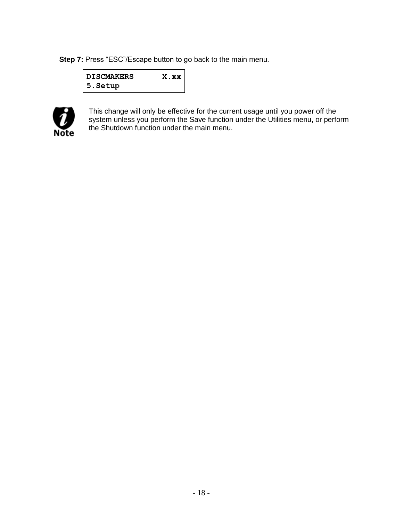**Step 7:** Press "ESC"/Escape button to go back to the main menu.

| <b>DISCMAKERS</b> | X.xx |
|-------------------|------|
| 5. Setup          |      |



This change will only be effective for the current usage until you power off the system unless you perform the Save function under the Utilities menu, or perform the Shutdown function under the main menu.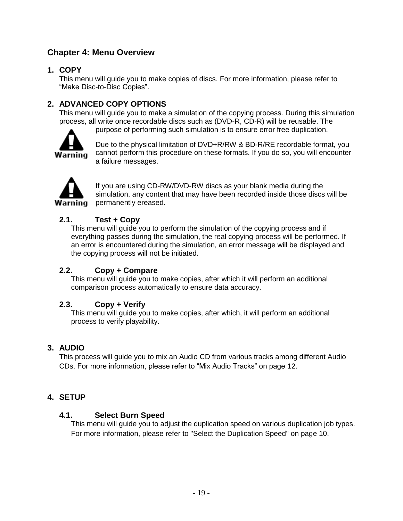#### **Chapter 4: Menu Overview**

#### **1. COPY**

This menu will guide you to make copies of discs. For more information, please refer to "Make Disc-to-Disc Copies".

#### **2. ADVANCED COPY OPTIONS**

This menu will guide you to make a simulation of the copying process. During this simulation process, all write once recordable discs such as (DVD-R, CD-R) will be reusable. The



purpose of performing such simulation is to ensure error free duplication.

Due to the physical limitation of DVD+R/RW & BD-R/RE recordable format, you cannot perform this procedure on these formats. If you do so, you will encounter a failure messages.



If you are using CD-RW/DVD-RW discs as your blank media during the simulation, any content that may have been recorded inside those discs will be permanently ereased.

#### **2.1. Test + Copy**

This menu will guide you to perform the simulation of the copying process and if everything passes during the simulation, the real copying process will be performed. If an error is encountered during the simulation, an error message will be displayed and the copying process will not be initiated.

#### **2.2. Copy + Compare**

This menu will guide you to make copies, after which it will perform an additional comparison process automatically to ensure data accuracy.

#### **2.3. Copy + Verify**

This menu will guide you to make copies, after which, it will perform an additional process to verify playability.

#### **3. AUDIO**

This process will guide you to mix an Audio CD from various tracks among different Audio CDs. For more information, please refer to "Mix Audio Tracks" on page 12.

#### **4. SETUP**

#### **4.1. Select Burn Speed**

This menu will guide you to adjust the duplication speed on various duplication job types. For more information, please refer to "Select the Duplication Speed" on page 10.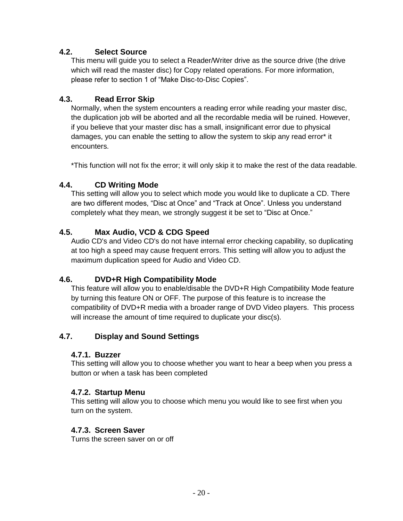#### **4.2. Select Source**

This menu will guide you to select a Reader/Writer drive as the source drive (the drive which will read the master disc) for Copy related operations. For more information, please refer to section 1 of "Make Disc-to-Disc Copies".

#### **4.3. Read Error Skip**

Normally, when the system encounters a reading error while reading your master disc, the duplication job will be aborted and all the recordable media will be ruined. However, if you believe that your master disc has a small, insignificant error due to physical damages, you can enable the setting to allow the system to skip any read error\* it encounters.

\*This function will not fix the error; it will only skip it to make the rest of the data readable.

#### **4.4. CD Writing Mode**

This setting will allow you to select which mode you would like to duplicate a CD. There are two different modes, "Disc at Once" and "Track at Once". Unless you understand completely what they mean, we strongly suggest it be set to "Disc at Once."

#### **4.5. Max Audio, VCD & CDG Speed**

Audio CD's and Video CD's do not have internal error checking capability, so duplicating at too high a speed may cause frequent errors. This setting will allow you to adjust the maximum duplication speed for Audio and Video CD.

#### **4.6. DVD+R High Compatibility Mode**

This feature will allow you to enable/disable the DVD+R High Compatibility Mode feature by turning this feature ON or OFF. The purpose of this feature is to increase the compatibility of DVD+R media with a broader range of DVD Video players. This process will increase the amount of time required to duplicate your disc(s).

#### **4.7. Display and Sound Settings**

#### **4.7.1. Buzzer**

This setting will allow you to choose whether you want to hear a beep when you press a button or when a task has been completed

#### **4.7.2. Startup Menu**

This setting will allow you to choose which menu you would like to see first when you turn on the system.

#### **4.7.3. Screen Saver**

Turns the screen saver on or off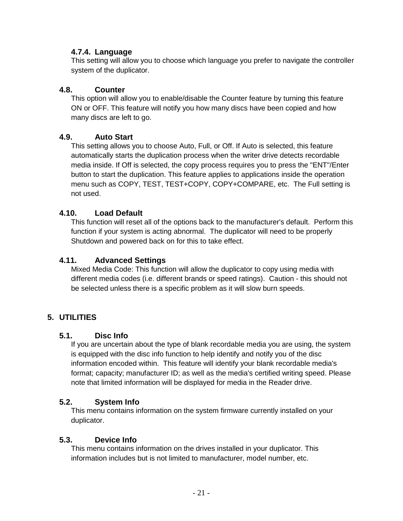#### **4.7.4. Language**

This setting will allow you to choose which language you prefer to navigate the controller system of the duplicator.

#### **4.8. Counter**

This option will allow you to enable/disable the Counter feature by turning this feature ON or OFF. This feature will notify you how many discs have been copied and how many discs are left to go.

#### **4.9. Auto Start**

This setting allows you to choose Auto, Full, or Off. If Auto is selected, this feature automatically starts the duplication process when the writer drive detects recordable media inside. If Off is selected, the copy process requires you to press the "ENT"/Enter button to start the duplication. This feature applies to applications inside the operation menu such as COPY, TEST, TEST+COPY, COPY+COMPARE, etc. The Full setting is not used.

#### **4.10. Load Default**

This function will reset all of the options back to the manufacturer's default. Perform this function if your system is acting abnormal. The duplicator will need to be properly Shutdown and powered back on for this to take effect.

#### **4.11. Advanced Settings**

Mixed Media Code: This function will allow the duplicator to copy using media with different media codes (i.e. different brands or speed ratings). Caution - this should not be selected unless there is a specific problem as it will slow burn speeds.

#### **5. UTILITIES**

#### **5.1. Disc Info**

If you are uncertain about the type of blank recordable media you are using, the system is equipped with the disc info function to help identify and notify you of the disc information encoded within. This feature will identify your blank recordable media's format; capacity; manufacturer ID; as well as the media's certified writing speed. Please note that limited information will be displayed for media in the Reader drive.

#### **5.2. System Info**

This menu contains information on the system firmware currently installed on your duplicator.

#### **5.3. Device Info**

This menu contains information on the drives installed in your duplicator. This information includes but is not limited to manufacturer, model number, etc.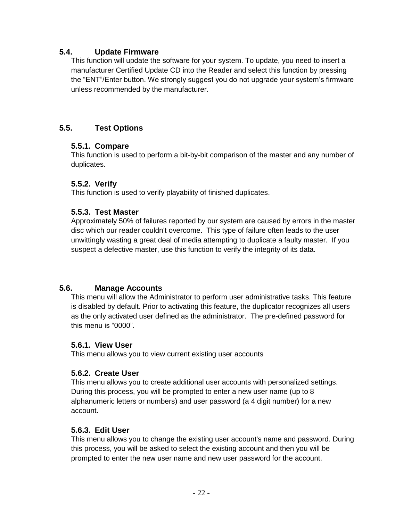#### **5.4. Update Firmware**

This function will update the software for your system. To update, you need to insert a manufacturer Certified Update CD into the Reader and select this function by pressing the "ENT"/Enter button. We strongly suggest you do not upgrade your system's firmware unless recommended by the manufacturer.

#### **5.5. Test Options**

#### **5.5.1. Compare**

This function is used to perform a bit-by-bit comparison of the master and any number of duplicates.

#### **5.5.2. Verify**

This function is used to verify playability of finished duplicates.

#### **5.5.3. Test Master**

Approximately 50% of failures reported by our system are caused by errors in the master disc which our reader couldn't overcome. This type of failure often leads to the user unwittingly wasting a great deal of media attempting to duplicate a faulty master. If you suspect a defective master, use this function to verify the integrity of its data.

#### **5.6. Manage Accounts**

This menu will allow the Administrator to perform user administrative tasks. This feature is disabled by default. Prior to activating this feature, the duplicator recognizes all users as the only activated user defined as the administrator. The pre-defined password for this menu is "0000".

#### **5.6.1. View User**

This menu allows you to view current existing user accounts

#### **5.6.2. Create User**

This menu allows you to create additional user accounts with personalized settings. During this process, you will be prompted to enter a new user name (up to 8 alphanumeric letters or numbers) and user password (a 4 digit number) for a new account.

#### **5.6.3. Edit User**

This menu allows you to change the existing user account's name and password. During this process, you will be asked to select the existing account and then you will be prompted to enter the new user name and new user password for the account.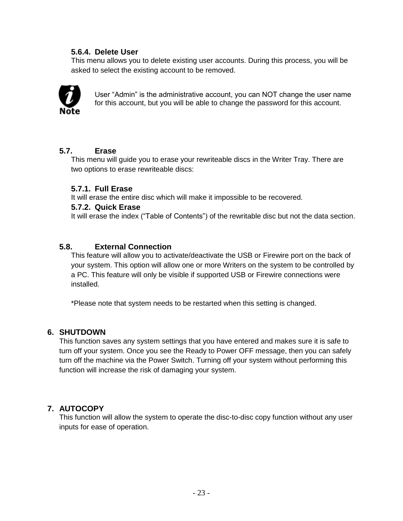#### **5.6.4. Delete User**

This menu allows you to delete existing user accounts. During this process, you will be asked to select the existing account to be removed.



User "Admin" is the administrative account, you can NOT change the user name for this account, but you will be able to change the password for this account.

#### **5.7. Erase**

This menu will guide you to erase your rewriteable discs in the Writer Tray. There are two options to erase rewriteable discs:

#### **5.7.1. Full Erase**

It will erase the entire disc which will make it impossible to be recovered.

#### **5.7.2. Quick Erase**

It will erase the index ("Table of Contents") of the rewritable disc but not the data section.

#### **5.8. External Connection**

This feature will allow you to activate/deactivate the USB or Firewire port on the back of your system. This option will allow one or more Writers on the system to be controlled by a PC. This feature will only be visible if supported USB or Firewire connections were installed.

\*Please note that system needs to be restarted when this setting is changed.

#### **6. SHUTDOWN**

This function saves any system settings that you have entered and makes sure it is safe to turn off your system. Once you see the Ready to Power OFF message, then you can safely turn off the machine via the Power Switch. Turning off your system without performing this function will increase the risk of damaging your system.

#### **7. AUTOCOPY**

This function will allow the system to operate the disc-to-disc copy function without any user inputs for ease of operation.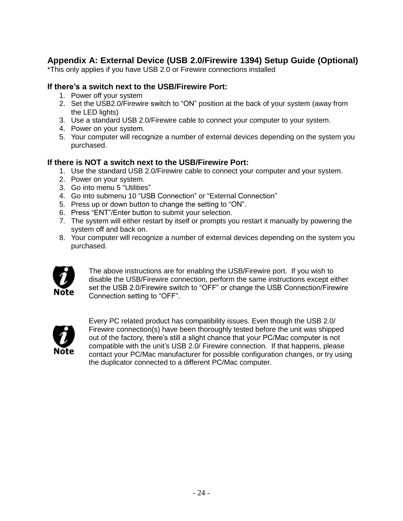#### **Appendix A: External Device (USB 2.0/Firewire 1394) Setup Guide (Optional)**

\*This only applies if you have USB 2.0 or Firewire connections installed

#### **If there's a switch next to the USB/Firewire Port:**

- 1. Power off your system
- 2. Set the USB2.0/Firewire switch to "ON" position at the back of your system (away from the LED lights)
- 3. Use a standard USB 2.0/Firewire cable to connect your computer to your system.
- 4. Power on your system.
- 5. Your computer will recognize a number of external devices depending on the system you purchased.

#### **If there is NOT a switch next to the USB/Firewire Port:**

- 1. Use the standard USB 2.0/Firewire cable to connect your computer and your system.
- 2. Power on your system.
- 3. Go into menu 5 "Utilities"
- 4. Go into submenu 10 "USB Connection" or "External Connection"
- 5. Press up or down button to change the setting to "ON".
- 6. Press "ENT"/Enter button to submit your selection.
- 7. The system will either restart by itself or prompts you restart it manually by powering the system off and back on.
- 8. Your computer will recognize a number of external devices depending on the system you purchased.



The above instructions are for enabling the USB/Firewire port. If you wish to disable the USB/Firewire connection, perform the same instructions except either set the USB 2.0/Firewire switch to "OFF" or change the USB Connection/Firewire Connection setting to "OFF".



Every PC related product has compatibility issues. Even though the USB 2.0/ Firewire connection(s) have been thoroughly tested before the unit was shipped out of the factory, there's still a slight chance that your PC/Mac computer is not compatible with the unit's USB 2.0/ Firewire connection. If that happens, please contact your PC/Mac manufacturer for possible configuration changes, or try using the duplicator connected to a different PC/Mac computer.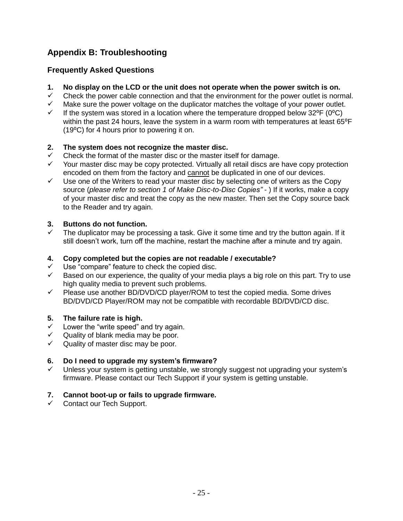#### **Appendix B: Troubleshooting**

#### **Frequently Asked Questions**

- **1. No display on the LCD or the unit does not operate when the power switch is on.**
- $\checkmark$  Check the power cable connection and that the environment for the power outlet is normal.
- $\checkmark$  Make sure the power voltage on the duplicator matches the voltage of your power outlet.<br> $\checkmark$  If the system was stored in a location where the temperature dropped below 32°F (0°C)
- If the system was stored in a location where the temperature dropped below  $32^{\circ}F(0^{\circ}C)$ within the past 24 hours, leave the system in a warm room with temperatures at least 65°F (19⁰C) for 4 hours prior to powering it on.

#### **2. The system does not recognize the master disc.**

- $\checkmark$  Check the format of the master disc or the master itself for damage.
- Your master disc may be copy protected. Virtually all retail discs are have copy protection encoded on them from the factory and cannot be duplicated in one of our devices.
- $\checkmark$  Use one of the Writers to read your master disc by selecting one of writers as the Copy source (*please refer to section 1 of Make Disc-to-Disc Copies" -* ) If it works, make a copy of your master disc and treat the copy as the new master. Then set the Copy source back to the Reader and try again.

#### **3. Buttons do not function.**

 The duplicator may be processing a task. Give it some time and try the button again. If it still doesn't work, turn off the machine, restart the machine after a minute and try again.

#### **4. Copy completed but the copies are not readable / executable?**

- Use "compare" feature to check the copied disc.
- $\checkmark$  Based on our experience, the quality of your media plays a big role on this part. Try to use high quality media to prevent such problems.
- $\checkmark$  Please use another BD/DVD/CD player/ROM to test the copied media. Some drives BD/DVD/CD Player/ROM may not be compatible with recordable BD/DVD/CD disc.

#### **5. The failure rate is high.**

- $\checkmark$  Lower the "write speed" and try again.
- $\checkmark$  Quality of blank media may be poor.
- $\checkmark$  Quality of master disc may be poor.

#### **6. Do I need to upgrade my system's firmware?**

 Unless your system is getting unstable, we strongly suggest not upgrading your system's firmware. Please contact our Tech Support if your system is getting unstable.

#### **7. Cannot boot-up or fails to upgrade firmware.**

 $\checkmark$  Contact our Tech Support.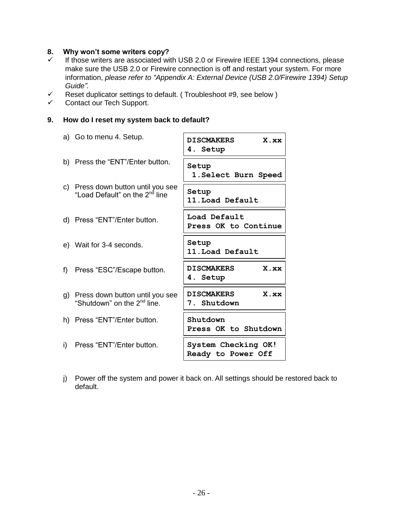#### **8. Why won't some writers copy?**

- If those writers are associated with USB 2.0 or Firewire IEEE 1394 connections, please make sure the USB 2.0 or Firewire connection is off and restart your system. For more information, *please refer to "Appendix A: External Device (USB 2.0/Firewire 1394) Setup Guide".*
- Reset duplicator settings to default. ( Troubleshoot #9, see below )
- Contact our Tech Support.

#### **9. How do I reset my system back to default?**

- a) Go to menu 4. Setup. b) Press the "ENT"/Enter button. c) Press down button until you see "Load Default" on the 2<sup>nd</sup> line d) Press "ENT"/Enter button. e) Wait for 3-4 seconds. f) Press "ESC"/Escape button. g) Press down button until you see "Shutdown" on the 2<sup>nd</sup> line. h) Press "ENT"/Enter button. i) Press "ENT"/Enter button. **DISCMAKERS X.xx 4. Setup Setup 1.Select Burn Speed Setup 11.Load Default Load Default Press OK to Continue Setup 11.Load Default DISCMAKERS X.xx 4. Setup DISCMAKERS X.xx 7. Shutdown 15.Shutdown 2007 Shutdown Press OK to Shutdown System Checking OK! Ready to Power Off**
- j) Power off the system and power it back on. All settings should be restored back to default.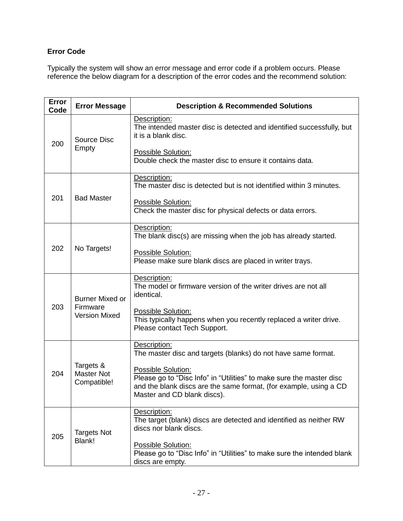#### **Error Code**

Typically the system will show an error message and error code if a problem occurs. Please reference the below diagram for a description of the error codes and the recommend solution:

| Error<br>Code | <b>Error Message</b>                          | <b>Description &amp; Recommended Solutions</b>                                                                                                                                                 |
|---------------|-----------------------------------------------|------------------------------------------------------------------------------------------------------------------------------------------------------------------------------------------------|
| 200           | Source Disc<br>Empty                          | Description:<br>The intended master disc is detected and identified successfully, but<br>it is a blank disc.                                                                                   |
|               |                                               | Possible Solution:<br>Double check the master disc to ensure it contains data.                                                                                                                 |
|               | <b>Bad Master</b>                             | Description:<br>The master disc is detected but is not identified within 3 minutes.                                                                                                            |
| 201           |                                               | Possible Solution:<br>Check the master disc for physical defects or data errors.                                                                                                               |
|               | No Targets!                                   | Description:<br>The blank disc(s) are missing when the job has already started.                                                                                                                |
| 202           |                                               | Possible Solution:<br>Please make sure blank discs are placed in writer trays.                                                                                                                 |
|               | <b>Burner Mixed or</b>                        | Description:<br>The model or firmware version of the writer drives are not all<br>identical.                                                                                                   |
| 203           | Firmware<br><b>Version Mixed</b>              | Possible Solution:<br>This typically happens when you recently replaced a writer drive.<br>Please contact Tech Support.                                                                        |
|               | Targets &<br><b>Master Not</b><br>Compatible! | Description:<br>The master disc and targets (blanks) do not have same format.                                                                                                                  |
| 204           |                                               | Possible Solution:<br>Please go to "Disc Info" in "Utilities" to make sure the master disc<br>and the blank discs are the same format, (for example, using a CD<br>Master and CD blank discs). |
|               | <b>Targets Not</b><br>Blank!                  | Description:<br>The target (blank) discs are detected and identified as neither RW<br>discs nor blank discs.                                                                                   |
| 205           |                                               | Possible Solution:<br>Please go to "Disc Info" in "Utilities" to make sure the intended blank<br>discs are empty.                                                                              |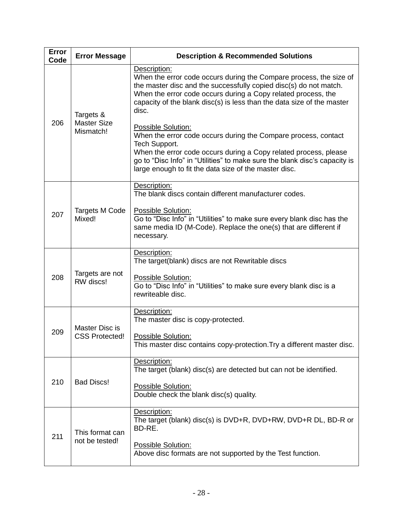| Error<br>Code | <b>Error Message</b>                         | <b>Description &amp; Recommended Solutions</b>                                                                                                                                                                                                                                                                                                                                                                                                                                                                                                                                                                                  |
|---------------|----------------------------------------------|---------------------------------------------------------------------------------------------------------------------------------------------------------------------------------------------------------------------------------------------------------------------------------------------------------------------------------------------------------------------------------------------------------------------------------------------------------------------------------------------------------------------------------------------------------------------------------------------------------------------------------|
| 206           | Targets &<br><b>Master Size</b><br>Mismatch! | Description:<br>When the error code occurs during the Compare process, the size of<br>the master disc and the successfully copied disc(s) do not match.<br>When the error code occurs during a Copy related process, the<br>capacity of the blank disc(s) is less than the data size of the master<br>disc.<br>Possible Solution:<br>When the error code occurs during the Compare process, contact<br>Tech Support.<br>When the error code occurs during a Copy related process, please<br>go to "Disc Info" in "Utilities" to make sure the blank disc's capacity is<br>large enough to fit the data size of the master disc. |
| 207           | <b>Targets M Code</b><br>Mixed!              | Description:<br>The blank discs contain different manufacturer codes.<br>Possible Solution:<br>Go to "Disc Info" in "Utilities" to make sure every blank disc has the<br>same media ID (M-Code). Replace the one(s) that are different if<br>necessary.                                                                                                                                                                                                                                                                                                                                                                         |
| 208           | Targets are not<br>RW discs!                 | Description:<br>The target(blank) discs are not Rewritable discs<br>Possible Solution:<br>Go to "Disc Info" in "Utilities" to make sure every blank disc is a<br>rewriteable disc.                                                                                                                                                                                                                                                                                                                                                                                                                                              |
| 209           | Master Disc is<br><b>CSS Protected!</b>      | Description:<br>The master disc is copy-protected.<br>Possible Solution:<br>This master disc contains copy-protection. Try a different master disc.                                                                                                                                                                                                                                                                                                                                                                                                                                                                             |
| 210           | <b>Bad Discs!</b>                            | Description:<br>The target (blank) disc(s) are detected but can not be identified.<br>Possible Solution:<br>Double check the blank disc(s) quality.                                                                                                                                                                                                                                                                                                                                                                                                                                                                             |
| 211           | This format can<br>not be tested!            | Description:<br>The target (blank) disc(s) is DVD+R, DVD+RW, DVD+R DL, BD-R or<br>BD-RE.<br>Possible Solution:<br>Above disc formats are not supported by the Test function.                                                                                                                                                                                                                                                                                                                                                                                                                                                    |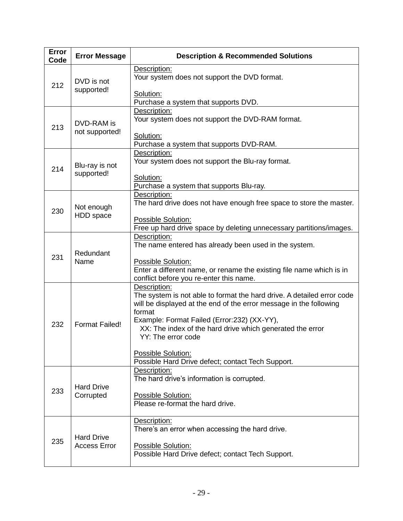| Error<br>Code | <b>Error Message</b>                     | <b>Description &amp; Recommended Solutions</b>                                                                                                                                                                                                                                     |
|---------------|------------------------------------------|------------------------------------------------------------------------------------------------------------------------------------------------------------------------------------------------------------------------------------------------------------------------------------|
| 212           | DVD is not<br>supported!                 | Description:<br>Your system does not support the DVD format.<br>Solution:                                                                                                                                                                                                          |
|               |                                          | Purchase a system that supports DVD.                                                                                                                                                                                                                                               |
| 213           | DVD-RAM is<br>not supported!             | Description:<br>Your system does not support the DVD-RAM format.<br>Solution:                                                                                                                                                                                                      |
|               |                                          | Purchase a system that supports DVD-RAM.<br>Description:                                                                                                                                                                                                                           |
| 214           | Blu-ray is not<br>supported!             | Your system does not support the Blu-ray format.                                                                                                                                                                                                                                   |
|               |                                          | Solution:<br>Purchase a system that supports Blu-ray.                                                                                                                                                                                                                              |
| 230           | Not enough<br>HDD space                  | Description:<br>The hard drive does not have enough free space to store the master.                                                                                                                                                                                                |
|               |                                          | Possible Solution:<br>Free up hard drive space by deleting unnecessary partitions/images.                                                                                                                                                                                          |
| 231           | Redundant<br>Name                        | Description:<br>The name entered has already been used in the system.                                                                                                                                                                                                              |
|               |                                          | Possible Solution:<br>Enter a different name, or rename the existing file name which is in<br>conflict before you re-enter this name.                                                                                                                                              |
| 232           | <b>Format Failed!</b>                    | Description:<br>The system is not able to format the hard drive. A detailed error code<br>will be displayed at the end of the error message in the following<br>format<br>Example: Format Failed (Error:232) (XX-YY),<br>XX: The index of the hard drive which generated the error |
|               |                                          | YY: The error code<br>Possible Solution:                                                                                                                                                                                                                                           |
|               |                                          | Possible Hard Drive defect; contact Tech Support.                                                                                                                                                                                                                                  |
|               | <b>Hard Drive</b><br>Corrupted           | Description:<br>The hard drive's information is corrupted.                                                                                                                                                                                                                         |
| 233           |                                          | Possible Solution:<br>Please re-format the hard drive.                                                                                                                                                                                                                             |
|               | <b>Hard Drive</b><br><b>Access Error</b> | Description:<br>There's an error when accessing the hard drive.                                                                                                                                                                                                                    |
| 235           |                                          | Possible Solution:<br>Possible Hard Drive defect; contact Tech Support.                                                                                                                                                                                                            |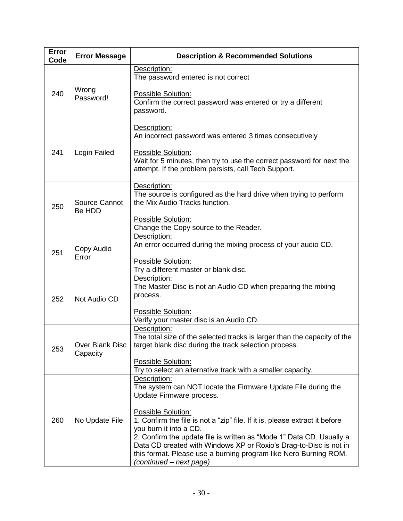| Error<br>Code | <b>Error Message</b>        | <b>Description &amp; Recommended Solutions</b>                                                                                                                                                                                           |
|---------------|-----------------------------|------------------------------------------------------------------------------------------------------------------------------------------------------------------------------------------------------------------------------------------|
|               |                             | Description:<br>The password entered is not correct                                                                                                                                                                                      |
| 240           | Wrong<br>Password!          | Possible Solution:<br>Confirm the correct password was entered or try a different<br>password.                                                                                                                                           |
|               |                             | Description:<br>An incorrect password was entered 3 times consecutively                                                                                                                                                                  |
| 241           | Login Failed                | Possible Solution:<br>Wait for 5 minutes, then try to use the correct password for next the<br>attempt. If the problem persists, call Tech Support.                                                                                      |
| 250           | Source Cannot<br>Be HDD     | Description:<br>The source is configured as the hard drive when trying to perform<br>the Mix Audio Tracks function.                                                                                                                      |
|               |                             | <b>Possible Solution:</b><br>Change the Copy source to the Reader.                                                                                                                                                                       |
| 251           | Copy Audio<br>Error         | Description:<br>An error occurred during the mixing process of your audio CD.                                                                                                                                                            |
|               |                             | Possible Solution:<br>Try a different master or blank disc.                                                                                                                                                                              |
| 252           | Not Audio CD                | Description:<br>The Master Disc is not an Audio CD when preparing the mixing<br>process.                                                                                                                                                 |
|               |                             | Possible Solution:<br>Verify your master disc is an Audio CD.                                                                                                                                                                            |
| 253           | Over Blank Disc<br>Capacity | Description:<br>The total size of the selected tracks is larger than the capacity of the<br>target blank disc during the track selection process.                                                                                        |
|               |                             | Possible Solution:<br>Try to select an alternative track with a smaller capacity.                                                                                                                                                        |
|               |                             | Description:<br>The system can NOT locate the Firmware Update File during the<br>Update Firmware process.                                                                                                                                |
| 260           | No Update File              | Possible Solution:<br>1. Confirm the file is not a "zip" file. If it is, please extract it before<br>you burn it into a CD.                                                                                                              |
|               |                             | 2. Confirm the update file is written as "Mode 1" Data CD. Usually a<br>Data CD created with Windows XP or Roxio's Drag-to-Disc is not in<br>this format. Please use a burning program like Nero Burning ROM.<br>(continued – next page) |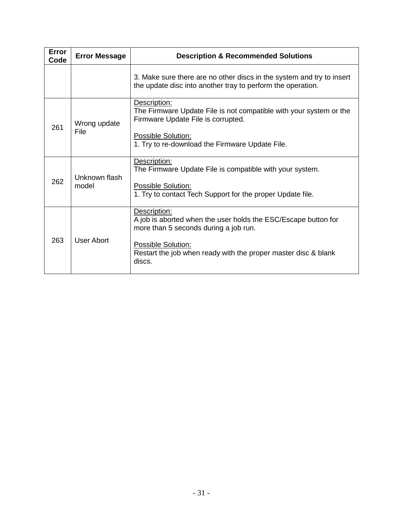| <b>Error</b><br>Code | <b>Error Message</b>   | <b>Description &amp; Recommended Solutions</b>                                                                                                                                                                            |
|----------------------|------------------------|---------------------------------------------------------------------------------------------------------------------------------------------------------------------------------------------------------------------------|
|                      |                        | 3. Make sure there are no other discs in the system and try to insert<br>the update disc into another tray to perform the operation.                                                                                      |
| 261                  | Wrong update<br>File   | Description:<br>The Firmware Update File is not compatible with your system or the<br>Firmware Update File is corrupted.<br>Possible Solution:<br>1. Try to re-download the Firmware Update File.                         |
| 262                  | Unknown flash<br>model | Description:<br>The Firmware Update File is compatible with your system.<br>Possible Solution:<br>1. Try to contact Tech Support for the proper Update file.                                                              |
| 263                  | User Abort             | Description:<br>A job is aborted when the user holds the ESC/Escape button for<br>more than 5 seconds during a job run.<br>Possible Solution:<br>Restart the job when ready with the proper master disc & blank<br>discs. |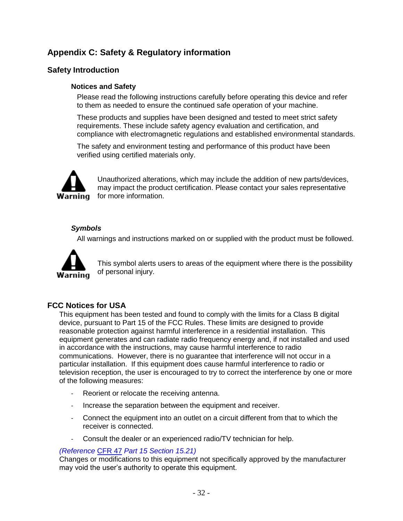#### **Appendix C: Safety & Regulatory information**

#### **Safety Introduction**

#### **Notices and Safety**

Please read the following instructions carefully before operating this device and refer to them as needed to ensure the continued safe operation of your machine.

These products and supplies have been designed and tested to meet strict safety requirements. These include safety agency evaluation and certification, and compliance with electromagnetic regulations and established environmental standards.

The safety and environment testing and performance of this product have been verified using certified materials only.



Unauthorized alterations, which may include the addition of new parts/devices, may impact the product certification. Please contact your sales representative for more information.

#### *Symbols*

All warnings and instructions marked on or supplied with the product must be followed.



This symbol alerts users to areas of the equipment where there is the possibility of personal injury.

#### **FCC Notices for USA**

This equipment has been tested and found to comply with the limits for a Class B digital device, pursuant to Part 15 of the FCC Rules. These limits are designed to provide reasonable protection against harmful interference in a residential installation. This equipment generates and can radiate radio frequency energy and, if not installed and used in accordance with the instructions, may cause harmful interference to radio communications. However, there is no guarantee that interference will not occur in a particular installation. If this equipment does cause harmful interference to radio or television reception, the user is encouraged to try to correct the interference by one or more of the following measures:

- Reorient or relocate the receiving antenna.
- Increase the separation between the equipment and receiver.
- Connect the equipment into an outlet on a circuit different from that to which the receiver is connected.
- Consult the dealer or an experienced radio/TV technician for help.

#### *(Reference* [CFR 47](http://www.access.gpo.gov/cgi-bin/cfrassemble.cgi?title=199847) *Part 15 Section 15.21)*

Changes or modifications to this equipment not specifically approved by the manufacturer may void the user's authority to operate this equipment.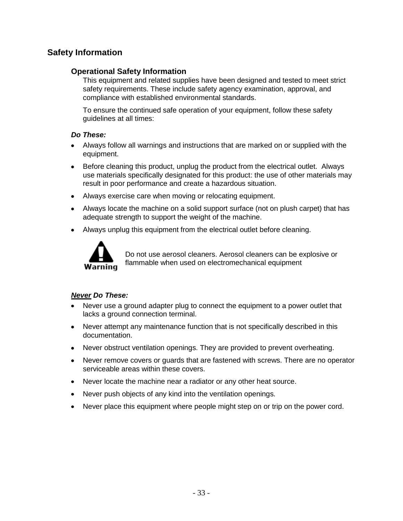#### **Safety Information**

#### **Operational Safety Information**

This equipment and related supplies have been designed and tested to meet strict safety requirements. These include safety agency examination, approval, and compliance with established environmental standards.

To ensure the continued safe operation of your equipment, follow these safety guidelines at all times:

#### *Do These:*

- Always follow all warnings and instructions that are marked on or supplied with the equipment.
- Before cleaning this product, unplug the product from the electrical outlet. Always use materials specifically designated for this product: the use of other materials may result in poor performance and create a hazardous situation.
- Always exercise care when moving or relocating equipment.
- Always locate the machine on a solid support surface (not on plush carpet) that has adequate strength to support the weight of the machine.
- $\bullet$ Always unplug this equipment from the electrical outlet before cleaning.



Do not use aerosol cleaners. Aerosol cleaners can be explosive or flammable when used on electromechanical equipment

#### *Never Do These:*

- Never use a ground adapter plug to connect the equipment to a power outlet that lacks a ground connection terminal.
- Never attempt any maintenance function that is not specifically described in this  $\bullet$ documentation.
- Never obstruct ventilation openings. They are provided to prevent overheating.  $\bullet$
- Never remove covers or guards that are fastened with screws. There are no operator  $\bullet$ serviceable areas within these covers.
- Never locate the machine near a radiator or any other heat source.  $\bullet$
- Never push objects of any kind into the ventilation openings.  $\bullet$
- Never place this equipment where people might step on or trip on the power cord.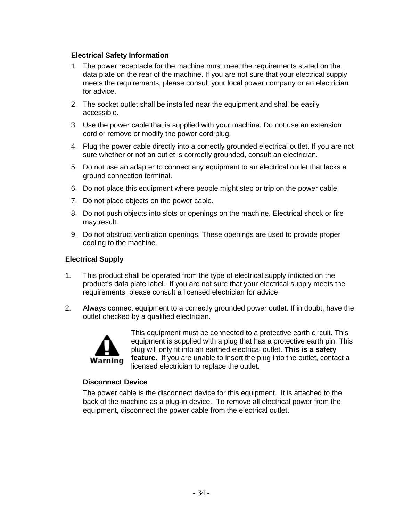#### **Electrical Safety Information**

- 1. The power receptacle for the machine must meet the requirements stated on the data plate on the rear of the machine. If you are not sure that your electrical supply meets the requirements, please consult your local power company or an electrician for advice.
- 2. The socket outlet shall be installed near the equipment and shall be easily accessible.
- 3. Use the power cable that is supplied with your machine. Do not use an extension cord or remove or modify the power cord plug.
- 4. Plug the power cable directly into a correctly grounded electrical outlet. If you are not sure whether or not an outlet is correctly grounded, consult an electrician.
- 5. Do not use an adapter to connect any equipment to an electrical outlet that lacks a ground connection terminal.
- 6. Do not place this equipment where people might step or trip on the power cable.
- 7. Do not place objects on the power cable.
- 8. Do not push objects into slots or openings on the machine. Electrical shock or fire may result.
- 9. Do not obstruct ventilation openings. These openings are used to provide proper cooling to the machine.

#### **Electrical Supply**

- 1. This product shall be operated from the type of electrical supply indicted on the product's data plate label. If you are not sure that your electrical supply meets the requirements, please consult a licensed electrician for advice.
- 2. Always connect equipment to a correctly grounded power outlet. If in doubt, have the outlet checked by a qualified electrician.



This equipment must be connected to a protective earth circuit. This equipment is supplied with a plug that has a protective earth pin. This plug will only fit into an earthed electrical outlet. **This is a safety feature.** If you are unable to insert the plug into the outlet, contact a licensed electrician to replace the outlet.

#### **Disconnect Device**

The power cable is the disconnect device for this equipment. It is attached to the back of the machine as a plug-in device. To remove all electrical power from the equipment, disconnect the power cable from the electrical outlet.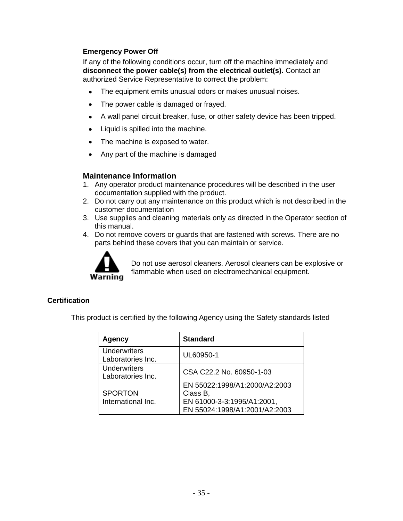#### **Emergency Power Off**

If any of the following conditions occur, turn off the machine immediately and **disconnect the power cable(s) from the electrical outlet(s).** Contact an authorized Service Representative to correct the problem:

- The equipment emits unusual odors or makes unusual noises.
- The power cable is damaged or frayed.  $\bullet$
- A wall panel circuit breaker, fuse, or other safety device has been tripped.
- Liquid is spilled into the machine.  $\bullet$
- The machine is exposed to water.  $\bullet$
- Any part of the machine is damaged

#### **Maintenance Information**

- 1. Any operator product maintenance procedures will be described in the user documentation supplied with the product.
- 2. Do not carry out any maintenance on this product which is not described in the customer documentation
- 3. Use supplies and cleaning materials only as directed in the Operator section of this manual.
- 4. Do not remove covers or guards that are fastened with screws. There are no parts behind these covers that you can maintain or service.



Do not use aerosol cleaners. Aerosol cleaners can be explosive or flammable when used on electromechanical equipment.

#### **Certification**

This product is certified by the following Agency using the Safety standards listed

| <b>Agency</b>                            | <b>Standard</b>                                                                                          |
|------------------------------------------|----------------------------------------------------------------------------------------------------------|
| <b>Underwriters</b><br>Laboratories Inc. | UL60950-1                                                                                                |
| <b>Underwriters</b><br>Laboratories Inc. | CSA C22.2 No. 60950-1-03                                                                                 |
| <b>SPORTON</b><br>International Inc.     | EN 55022:1998/A1:2000/A2:2003<br>Class B,<br>EN 61000-3-3:1995/A1:2001,<br>EN 55024:1998/A1:2001/A2:2003 |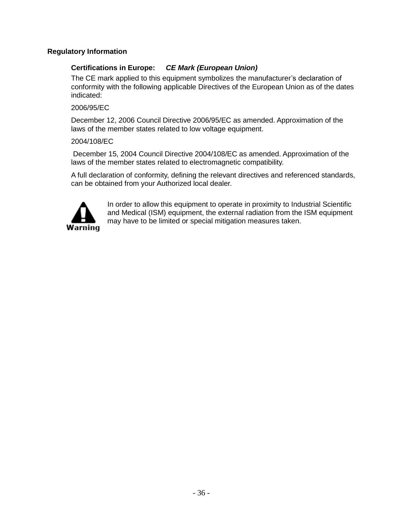#### **Regulatory Information**

#### **Certifications in Europe:** *CE Mark (European Union)*

The CE mark applied to this equipment symbolizes the manufacturer's declaration of conformity with the following applicable Directives of the European Union as of the dates indicated:

#### 2006/95/EC

December 12, 2006 Council Directive 2006/95/EC as amended. Approximation of the laws of the member states related to low voltage equipment.

#### 2004/108/EC

December 15, 2004 Council Directive 2004/108/EC as amended. Approximation of the laws of the member states related to electromagnetic compatibility.

A full declaration of conformity, defining the relevant directives and referenced standards, can be obtained from your Authorized local dealer.



In order to allow this equipment to operate in proximity to Industrial Scientific and Medical (ISM) equipment, the external radiation from the ISM equipment may have to be limited or special mitigation measures taken.